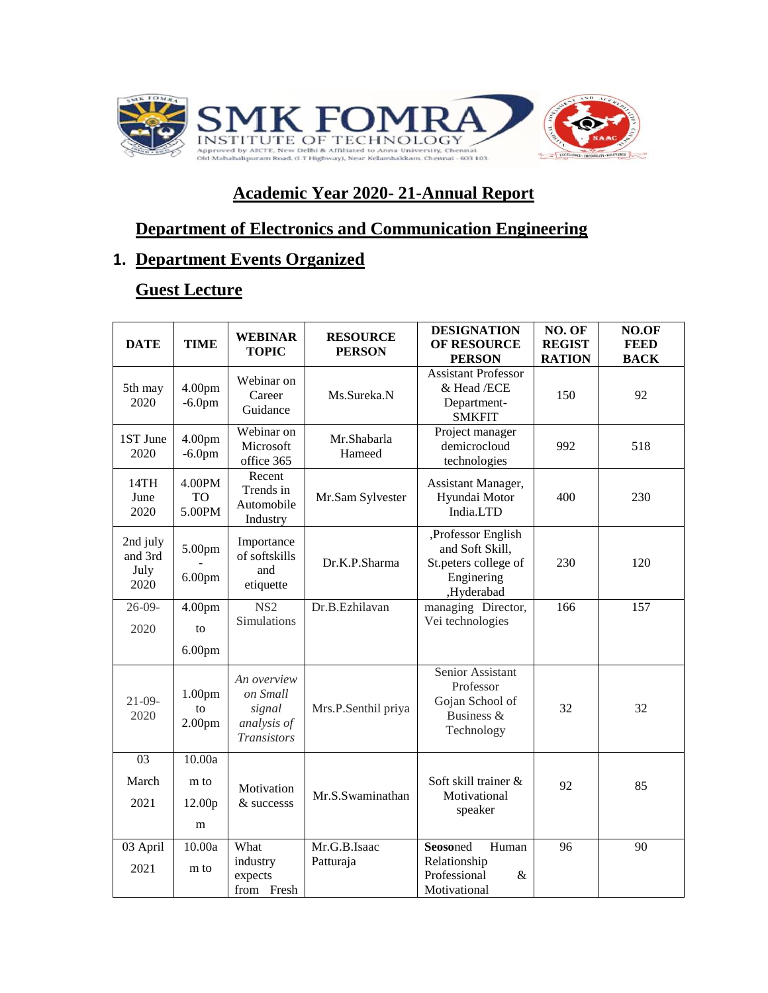

# **Academic Year 2020- 21-Annual Report**

# **Department of Electronics and Communication Engineering**

# **1. Department Events Organized**

### **Guest Lecture**

| <b>DATE</b>                         | <b>TIME</b>                        | <b>WEBINAR</b><br><b>TOPIC</b>                                         | <b>RESOURCE</b><br><b>PERSON</b> | <b>DESIGNATION</b><br>OF RESOURCE<br><b>PERSON</b>                                        | NO. OF<br><b>REGIST</b><br><b>RATION</b> | NO.OF<br><b>FEED</b><br><b>BACK</b> |
|-------------------------------------|------------------------------------|------------------------------------------------------------------------|----------------------------------|-------------------------------------------------------------------------------------------|------------------------------------------|-------------------------------------|
| 5th may<br>2020                     | 4.00 <sub>pm</sub><br>$-6.0pm$     | Webinar on<br>Career<br>Guidance                                       | Ms.Sureka.N                      | <b>Assistant Professor</b><br>& Head /ECE<br>Department-<br><b>SMKFIT</b>                 | 150                                      | 92                                  |
| 1ST June<br>2020                    | 4.00 <sub>pm</sub><br>$-6.0pm$     | Webinar on<br>Microsoft<br>office 365                                  | Mr.Shabarla<br>Hameed            | Project manager<br>demicrocloud<br>technologies                                           | 992                                      | 518                                 |
| 14TH<br>June<br>2020                | 4.00PM<br>TO<br>5.00PM             | Recent<br>Trends in<br>Automobile<br>Industry                          | Mr.Sam Sylvester                 | Assistant Manager,<br>Hyundai Motor<br>India.LTD                                          | 400                                      | 230                                 |
| 2nd july<br>and 3rd<br>July<br>2020 | 5.00pm<br>6.00 <sub>pm</sub>       | Importance<br>of softskills<br>and<br>etiquette                        | Dr.K.P.Sharma                    | ,Professor English<br>and Soft Skill,<br>St.peters college of<br>Enginering<br>,Hyderabad | 230                                      | 120                                 |
| $26 - 09$<br>2020                   | 4.00 <sub>pm</sub><br>to           | NS <sub>2</sub><br>Simulations                                         | Dr.B.Ezhilavan                   | managing Director,<br>Vei technologies                                                    | 166                                      | 157                                 |
|                                     | 6.00 <sub>pm</sub>                 |                                                                        |                                  |                                                                                           |                                          |                                     |
| $21 - 09 -$<br>2020                 | 1.00pm<br>to<br>2.00 <sub>pm</sub> | An overview<br>on Small<br>signal<br>analysis of<br><b>Transistors</b> | Mrs.P.Senthil priya              | Senior Assistant<br>Professor<br>Gojan School of<br>Business &<br>Technology              | 32                                       | 32                                  |
| 03<br>March<br>2021                 | 10.00a<br>m to<br>12.00p<br>m      | Motivation<br>& successs                                               | Mr.S.Swaminathan                 | Soft skill trainer &<br>Motivational<br>speaker                                           | 92                                       | 85                                  |
| 03 April<br>2021                    | 10.00a<br>m to                     | What<br>industry<br>expects<br>from Fresh                              | Mr.G.B.Isaac<br>Patturaja        | Seosoned<br>Human<br>Relationship<br>Professional<br>&<br>Motivational                    | 96                                       | 90                                  |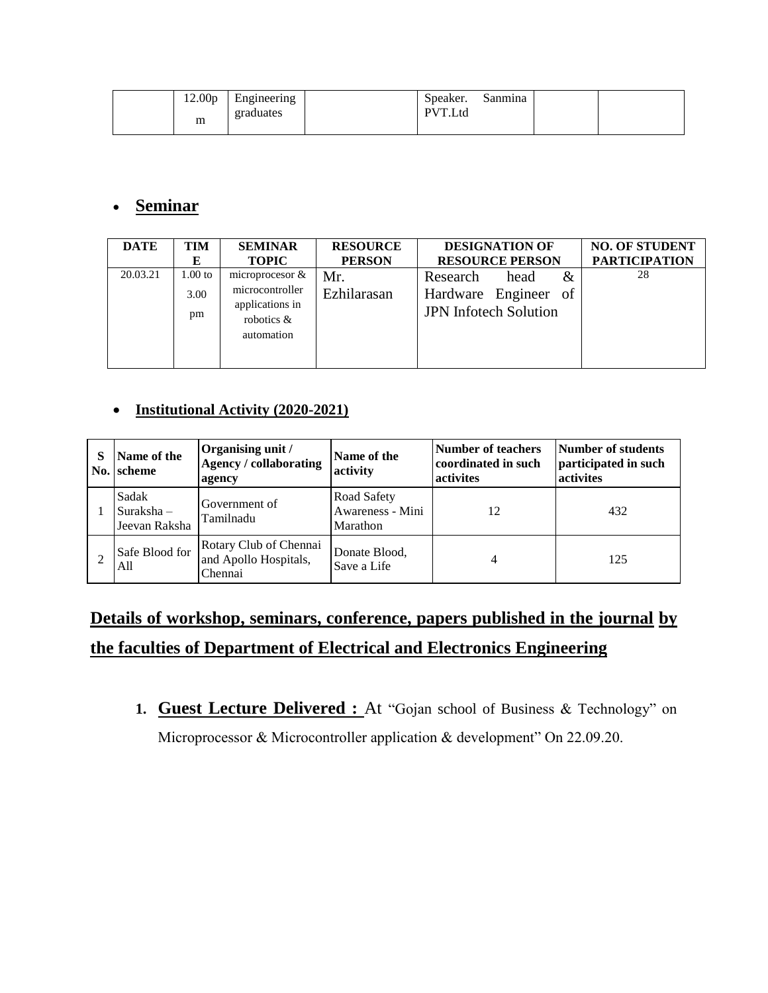| 12.00 <sub>p</sub><br>m | $\blacksquare$<br>Engineering<br>graduates | Speaker.<br>PVT.Ltd | Sanmina |  |
|-------------------------|--------------------------------------------|---------------------|---------|--|
|                         |                                            |                     |         |  |

#### **Seminar**

| <b>DATE</b> | TIM                     | <b>SEMINAR</b>                                                                       | <b>RESOURCE</b>    | <b>DESIGNATION OF</b>                                                            | <b>NO. OF STUDENT</b> |
|-------------|-------------------------|--------------------------------------------------------------------------------------|--------------------|----------------------------------------------------------------------------------|-----------------------|
|             | Е                       | <b>TOPIC</b>                                                                         | <b>PERSON</b>      | <b>RESOURCE PERSON</b>                                                           | <b>PARTICIPATION</b>  |
| 20.03.21    | $1.00$ to<br>3.00<br>pm | microprocesor $\&$<br>microcontroller<br>applications in<br>robotics &<br>automation | Mr.<br>Ezhilarasan | &<br>Research<br>head<br>Hardware Engineer<br>of<br><b>JPN</b> Inforech Solution | 28                    |

#### **Institutional Activity (2020-2021)**

| Name of the<br>No. scheme            | Organising unit /<br><b>Agency / collaborating</b><br>agency | Name of the<br>activity                     | Number of teachers<br>coordinated in such<br>activites | Number of students<br>participated in such<br>activites |
|--------------------------------------|--------------------------------------------------------------|---------------------------------------------|--------------------------------------------------------|---------------------------------------------------------|
| Sadak<br>Suraksha -<br>Jeevan Raksha | Government of<br>Tamilnadu                                   | Road Safety<br>Awareness - Mini<br>Marathon | 12                                                     | 432                                                     |
| Safe Blood for<br>All                | Rotary Club of Chennai<br>and Apollo Hospitals,<br>Chennai   | Donate Blood,<br>Save a Life                |                                                        | 125                                                     |

# **Details of workshop, seminars, conference, papers published in the journal by the faculties of Department of Electrical and Electronics Engineering**

1. **Guest Lecture Delivered :** At "Gojan school of Business & Technology" on Microprocessor & Microcontroller application & development" On 22.09.20.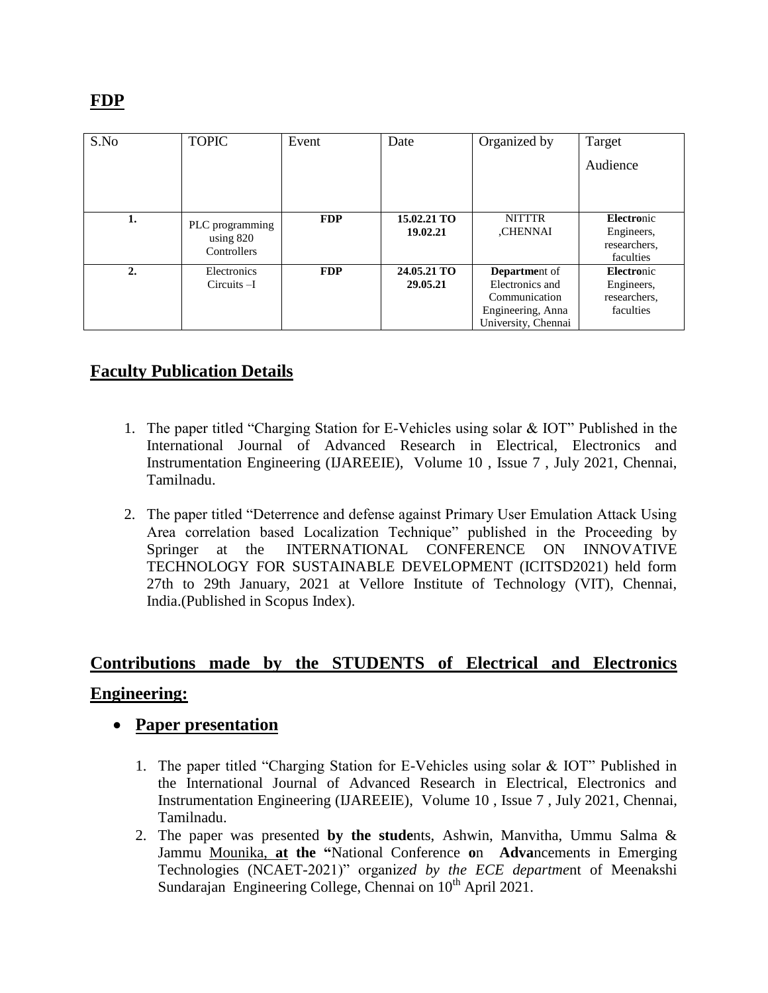| S.No | <b>TOPIC</b>    | Event      | Date        | Organized by         | Target       |
|------|-----------------|------------|-------------|----------------------|--------------|
|      |                 |            |             |                      | Audience     |
|      |                 |            |             |                      |              |
|      |                 |            |             |                      |              |
| 1.   | PLC programming | <b>FDP</b> | 15.02.21 TO | <b>NITTTR</b>        | Electronic   |
|      | using $820$     |            | 19.02.21    | ,CHENNAI             | Engineers,   |
|      | Controllers     |            |             |                      | researchers. |
|      |                 |            |             |                      | faculties    |
| 2.   | Electronics     | <b>FDP</b> | 24.05.21 TO | <b>Department of</b> | Electronic   |
|      | $Circuits - I$  |            | 29.05.21    | Electronics and      | Engineers,   |
|      |                 |            |             | Communication        | researchers, |
|      |                 |            |             | Engineering, Anna    | faculties    |
|      |                 |            |             | University, Chennai  |              |

# **Faculty Publication Details**

- 1. The paper titled "Charging Station for E-Vehicles using solar & IOT" Published in the International Journal of Advanced Research in Electrical, Electronics and Instrumentation Engineering (IJAREEIE), Volume 10 , Issue 7 , July 2021, Chennai, Tamilnadu.
- 2. The paper titled "Deterrence and defense against Primary User Emulation Attack Using Area correlation based Localization Technique" published in the Proceeding by Springer at the INTERNATIONAL CONFERENCE ON INNOVATIVE TECHNOLOGY FOR SUSTAINABLE DEVELOPMENT (ICITSD2021) held form 27th to 29th January, 2021 at Vellore Institute of Technology (VIT), Chennai, India.(Published in Scopus Index).

# **Contributions made by the STUDENTS of Electrical and Electronics Engineering:**

- **Paper presentation**
	- 1. The paper titled "Charging Station for E-Vehicles using solar & IOT" Published in the International Journal of Advanced Research in Electrical, Electronics and Instrumentation Engineering (IJAREEIE), Volume 10 , Issue 7 , July 2021, Chennai, Tamilnadu.
	- 2. The paper was presented **by the stude**nts, Ashwin, Manvitha, Ummu Salma & Jammu Mounika, **at the "**National Conference **o**n **Adva**ncements in Emerging Technologies (NCAET-2021)" organi*zed by the ECE departme*nt of Meenakshi Sundarajan Engineering College, Chennai on 10<sup>th</sup> April 2021.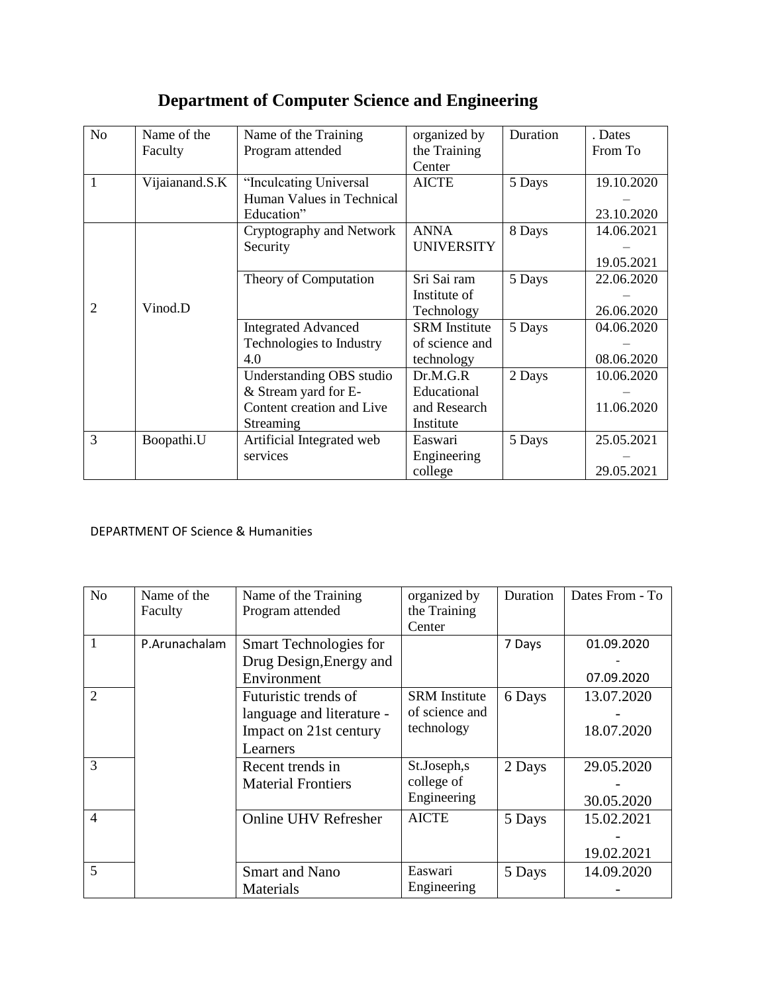# **Department of Computer Science and Engineering**

| N <sub>o</sub> | Name of the    | Name of the Training       | organized by         | Duration | . Dates    |
|----------------|----------------|----------------------------|----------------------|----------|------------|
|                | Faculty        | Program attended           | the Training         |          | From To    |
|                |                |                            | Center               |          |            |
| 1              | Vijaianand.S.K | "Inculcating Universal     | <b>AICTE</b>         | 5 Days   | 19.10.2020 |
|                |                | Human Values in Technical  |                      |          |            |
|                |                | Education"                 |                      |          | 23.10.2020 |
|                |                | Cryptography and Network   | <b>ANNA</b>          | 8 Days   | 14.06.2021 |
|                |                | Security                   | <b>UNIVERSITY</b>    |          |            |
|                |                |                            |                      |          | 19.05.2021 |
|                |                | Theory of Computation      | Sri Sai ram          | 5 Days   | 22.06.2020 |
|                |                |                            | Institute of         |          |            |
| $\overline{c}$ | Vinod.D        |                            | Technology           |          | 26.06.2020 |
|                |                | <b>Integrated Advanced</b> | <b>SRM</b> Institute | 5 Days   | 04.06.2020 |
|                |                | Technologies to Industry   | of science and       |          |            |
|                |                | 4.0                        | technology           |          | 08.06.2020 |
|                |                | Understanding OBS studio   | Dr.M.G.R             | 2 Days   | 10.06.2020 |
|                |                | & Stream yard for E-       | Educational          |          |            |
|                |                | Content creation and Live  | and Research         |          | 11.06.2020 |
|                |                | Streaming                  | Institute            |          |            |
| 3              | Boopathi.U     | Artificial Integrated web  | Easwari              | 5 Days   | 25.05.2021 |
|                |                | services                   | Engineering          |          |            |
|                |                |                            | college              |          | 29.05.2021 |

#### DEPARTMENT OF Science & Humanities

| N <sub>o</sub> | Name of the   | Name of the Training      | organized by         | Duration | Dates From - To |
|----------------|---------------|---------------------------|----------------------|----------|-----------------|
|                | Faculty       | Program attended          | the Training         |          |                 |
|                |               |                           | Center               |          |                 |
| 1              | P.Arunachalam | Smart Technologies for    |                      | 7 Days   | 01.09.2020      |
|                |               | Drug Design, Energy and   |                      |          |                 |
|                |               | Environment               |                      |          | 07.09.2020      |
| $\overline{2}$ |               | Futuristic trends of      | <b>SRM</b> Institute | 6 Days   | 13.07.2020      |
|                |               | language and literature - | of science and       |          |                 |
|                |               | Impact on 21st century    | technology           |          | 18.07.2020      |
|                |               | Learners                  |                      |          |                 |
| 3              |               | Recent trends in          | St.Joseph,s          | 2 Days   | 29.05.2020      |
|                |               | <b>Material Frontiers</b> | college of           |          |                 |
|                |               |                           | Engineering          |          | 30.05.2020      |
| $\overline{4}$ |               | Online UHV Refresher      | <b>AICTE</b>         | 5 Days   | 15.02.2021      |
|                |               |                           |                      |          |                 |
|                |               |                           |                      |          | 19.02.2021      |
| 5              |               | <b>Smart and Nano</b>     | Easwari              | 5 Days   | 14.09.2020      |
|                |               | Materials                 | Engineering          |          |                 |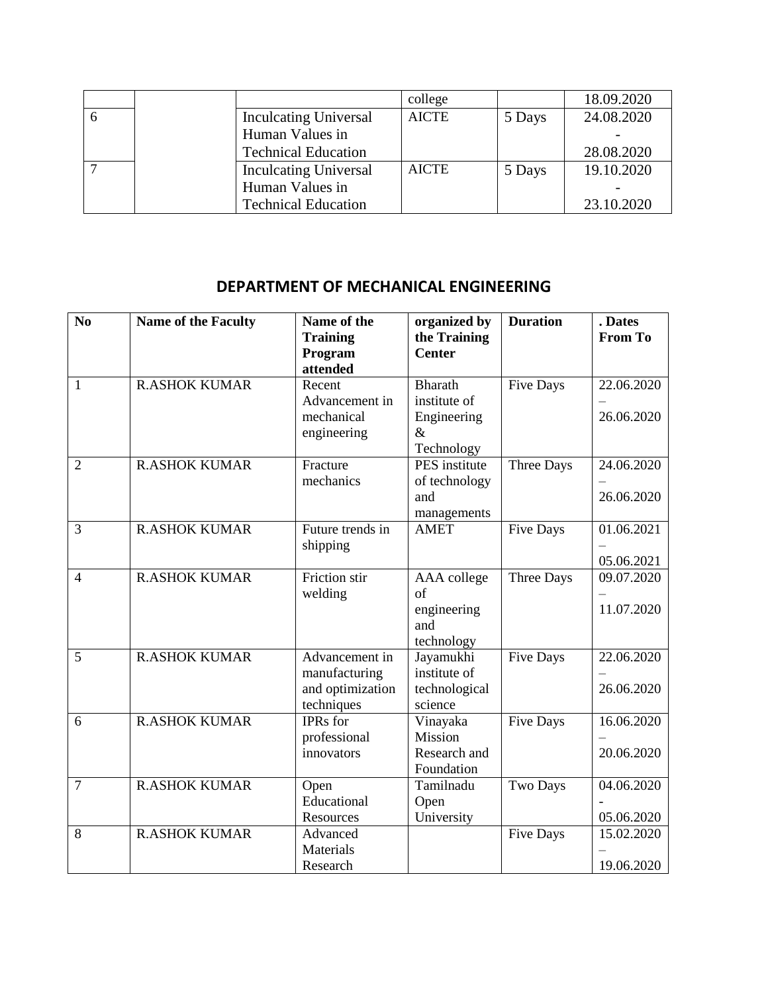|              |                              | college      |        | 18.09.2020 |
|--------------|------------------------------|--------------|--------|------------|
| $\mathbf{a}$ | <b>Inculcating Universal</b> | <b>AICTE</b> | 5 Days | 24.08.2020 |
|              | Human Values in              |              |        |            |
|              | <b>Technical Education</b>   |              |        | 28.08.2020 |
|              | <b>Inculcating Universal</b> | <b>AICTE</b> | 5 Days | 19.10.2020 |
|              | Human Values in              |              |        |            |
|              | <b>Technical Education</b>   |              |        | 23.10.2020 |

#### **DEPARTMENT OF MECHANICAL ENGINEERING**

| N <sub>0</sub> | <b>Name of the Faculty</b> | Name of the<br><b>Training</b><br>Program<br>attended             | organized by<br>the Training<br><b>Center</b>                       | <b>Duration</b>   | . Dates<br><b>From To</b> |
|----------------|----------------------------|-------------------------------------------------------------------|---------------------------------------------------------------------|-------------------|---------------------------|
| $\mathbf{1}$   | <b>R.ASHOK KUMAR</b>       | Recent<br>Advancement in<br>mechanical<br>engineering             | <b>Bharath</b><br>institute of<br>Engineering<br>$\&$<br>Technology | Five Days         | 22.06.2020<br>26.06.2020  |
| $\overline{2}$ | <b>R.ASHOK KUMAR</b>       | Fracture<br>mechanics                                             | PES institute<br>of technology<br>and<br>managements                | Three Days        | 24.06.2020<br>26.06.2020  |
| 3              | <b>R.ASHOK KUMAR</b>       | Future trends in<br>shipping                                      | <b>AMET</b>                                                         | <b>Five Days</b>  | 01.06.2021<br>05.06.2021  |
| $\overline{4}$ | <b>R.ASHOK KUMAR</b>       | <b>Friction</b> stir<br>welding                                   | AAA college<br>of<br>engineering<br>and<br>technology               | <b>Three Days</b> | 09.07.2020<br>11.07.2020  |
| 5              | <b>R.ASHOK KUMAR</b>       | Advancement in<br>manufacturing<br>and optimization<br>techniques | Jayamukhi<br>institute of<br>technological<br>science               | <b>Five Days</b>  | 22.06.2020<br>26.06.2020  |
| 6              | <b>R.ASHOK KUMAR</b>       | <b>IPRs</b> for<br>professional<br>innovators                     | Vinayaka<br>Mission<br>Research and<br>Foundation                   | <b>Five Days</b>  | 16.06.2020<br>20.06.2020  |
| $\overline{7}$ | <b>R.ASHOK KUMAR</b>       | Open<br>Educational<br>Resources                                  | Tamilnadu<br>Open<br>University                                     | <b>Two Days</b>   | 04.06.2020<br>05.06.2020  |
| 8              | <b>R.ASHOK KUMAR</b>       | Advanced<br>Materials<br>Research                                 |                                                                     | <b>Five Days</b>  | 15.02.2020<br>19.06.2020  |